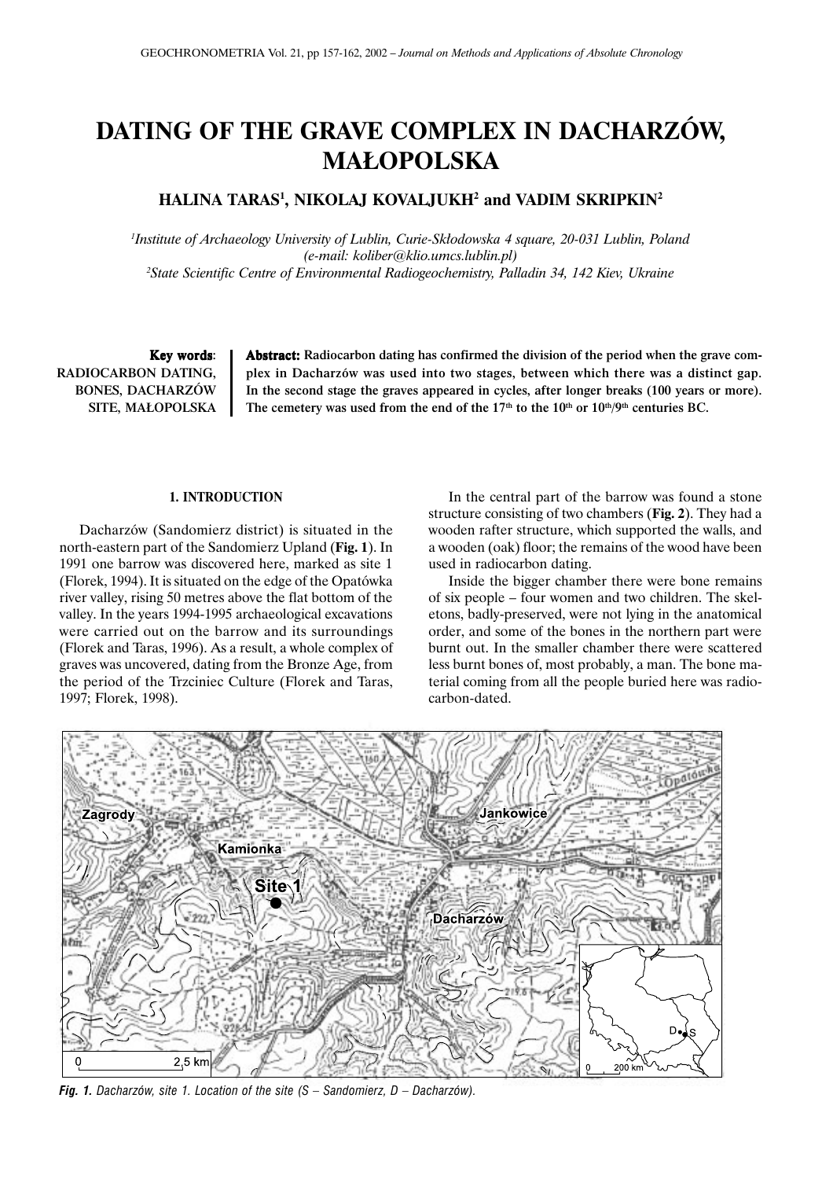# **DATING OF THE GRAVE COMPLEX IN DACHARZÓW, MA£OPOLSKA**

# **HALINA TARAS1 , NIKOLAJ KOVALJUKH2 and VADIM SKRIPKIN2**

<sup>1</sup>Institute of Archaeology University of Lublin, Curie-Skłodowska 4 square, 20-031 Lublin, Poland *(e-mail: koliber@klio.umcs.lublin.pl) 2 State Scientific Centre of Environmental Radiogeochemistry, Palladin 34, 142 Kiev, Ukraine*

Key words: RADIOCARBON DATING, BONES, DACHARZÓW SITE, MA£OPOLSKA Abstract: Radiocarbon dating has confirmed the division of the period when the grave complex in Dacharzów was used into two stages, between which there was a distinct gap. In the second stage the graves appeared in cycles, after longer breaks (100 years or more). The cemetery was used from the end of the 17<sup>th</sup> to the 10<sup>th</sup> or 10<sup>th</sup>/9<sup>th</sup> centuries BC.

## **1. INTRODUCTION**

Dacharzów (Sandomierz district) is situated in the north-eastern part of the Sandomierz Upland (**Fig. 1**). In 1991 one barrow was discovered here, marked as site 1 (Florek, 1994). It is situated on the edge of the Opatówka river valley, rising 50 metres above the flat bottom of the valley. In the years 1994-1995 archaeological excavations were carried out on the barrow and its surroundings (Florek and Taras, 1996). As a result, a whole complex of graves was uncovered, dating from the Bronze Age, from the period of the Trzciniec Culture (Florek and Taras, 1997; Florek, 1998).

In the central part of the barrow was found a stone structure consisting of two chambers (**Fig. 2**). They had a wooden rafter structure, which supported the walls, and a wooden (oak) floor; the remains of the wood have been used in radiocarbon dating.

Inside the bigger chamber there were bone remains of six people – four women and two children. The skeletons, badly-preserved, were not lying in the anatomical order, and some of the bones in the northern part were burnt out. In the smaller chamber there were scattered less burnt bones of, most probably, a man. The bone material coming from all the people buried here was radiocarbon-dated.



*Fig. 1. Dacharzów, site 1. Location of the site (S – Sandomierz, D – Dacharzów).*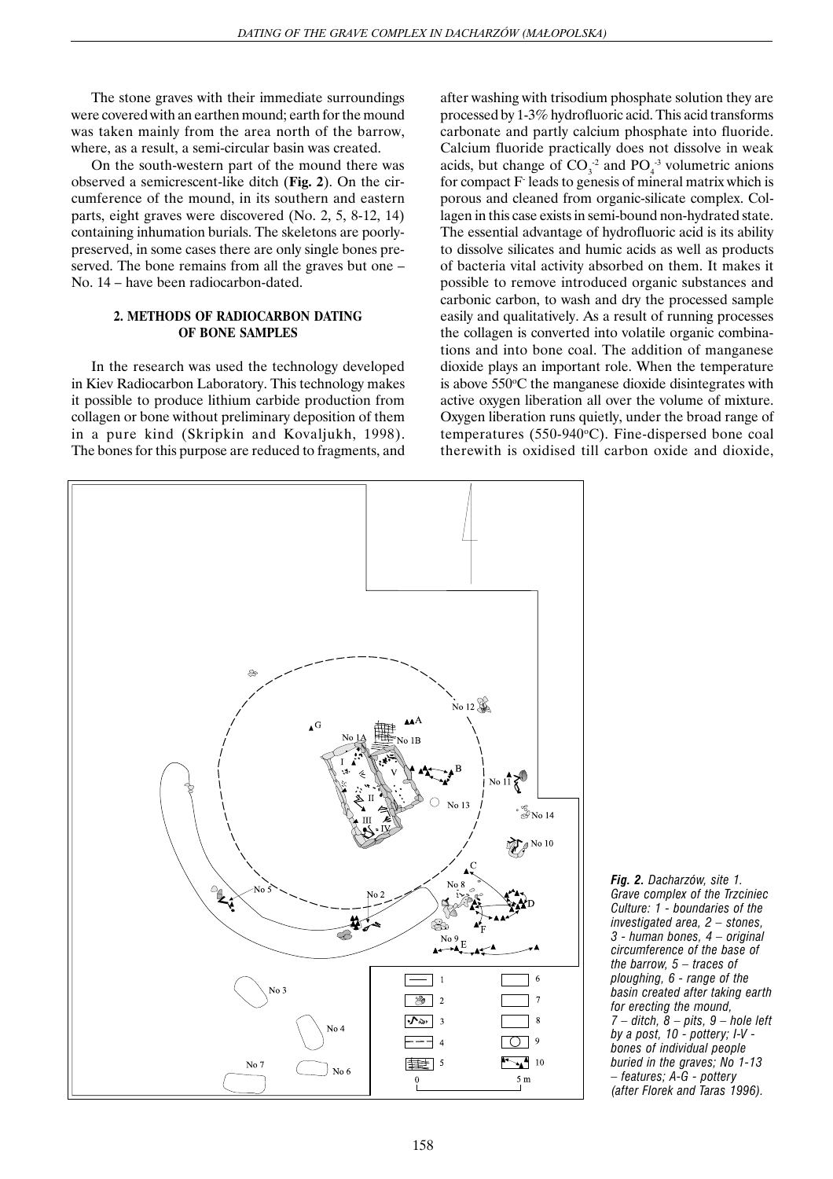The stone graves with their immediate surroundings were covered with an earthen mound; earth for the mound was taken mainly from the area north of the barrow, where, as a result, a semi-circular basin was created.

On the south-western part of the mound there was observed a semicrescent-like ditch (**Fig. 2**). On the circumference of the mound, in its southern and eastern parts, eight graves were discovered (No. 2, 5, 8-12, 14) containing inhumation burials. The skeletons are poorlypreserved, in some cases there are only single bones preserved. The bone remains from all the graves but one – No. 14 – have been radiocarbon-dated.

## **2. METHODS OF RADIOCARBON DATING OF BONE SAMPLES**

In the research was used the technology developed in Kiev Radiocarbon Laboratory. This technology makes it possible to produce lithium carbide production from collagen or bone without preliminary deposition of them in a pure kind (Skripkin and Kovaljukh, 1998). The bones for this purpose are reduced to fragments, and after washing with trisodium phosphate solution they are processed by 1-3% hydrofluoric acid. This acid transforms carbonate and partly calcium phosphate into fluoride. Calcium fluoride practically does not dissolve in weak acids, but change of  $CO_3^{-2}$  and  $PO_4^{-3}$  volumetric anions for compact F- leads to genesis of mineral matrix which is porous and cleaned from organic-silicate complex. Collagen in this case exists in semi-bound non-hydrated state. The essential advantage of hydrofluoric acid is its ability to dissolve silicates and humic acids as well as products of bacteria vital activity absorbed on them. It makes it possible to remove introduced organic substances and carbonic carbon, to wash and dry the processed sample easily and qualitatively. As a result of running processes the collagen is converted into volatile organic combinations and into bone coal. The addition of manganese dioxide plays an important role. When the temperature is above 550°C the manganese dioxide disintegrates with active oxygen liberation all over the volume of mixture. Oxygen liberation runs quietly, under the broad range of temperatures (550-940°C). Fine-dispersed bone coal therewith is oxidised till carbon oxide and dioxide,



*Fig. 2. Dacharzów, site 1. Grave complex of the Trzciniec Culture: 1 - boundaries of the investigated area, 2 – stones, 3 - human bones, 4 – original circumference of the base of the barrow, 5 – traces of ploughing, 6 - range of the basin created after taking earth for erecting the mound, 7 – ditch, 8 – pits, 9 – hole left by a post, 10 - pottery; I-V bones of individual people buried in the graves; No 1-13 – features; A-G - pottery (after Florek and Taras 1996).*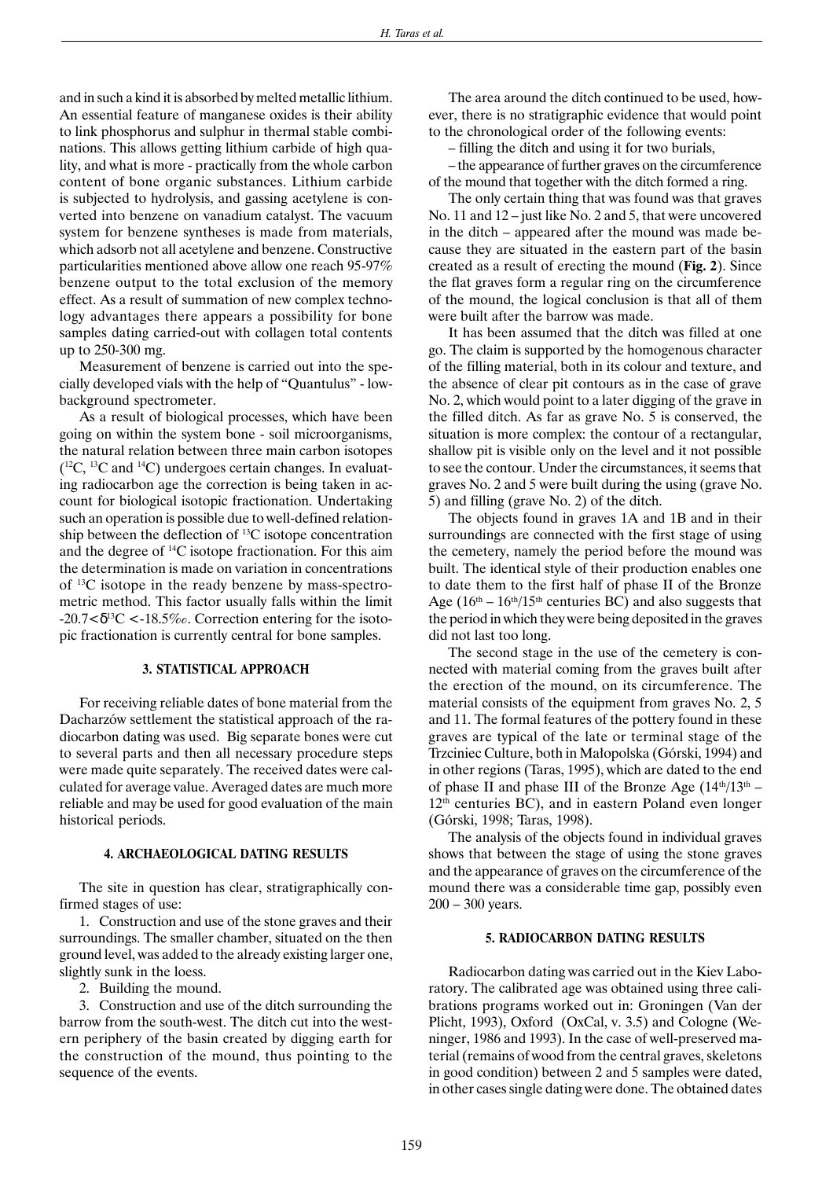and in such a kind it is absorbed by melted metallic lithium. An essential feature of manganese oxides is their ability to link phosphorus and sulphur in thermal stable combinations. This allows getting lithium carbide of high quality, and what is more - practically from the whole carbon content of bone organic substances. Lithium carbide is subjected to hydrolysis, and gassing acetylene is converted into benzene on vanadium catalyst. The vacuum system for benzene syntheses is made from materials, which adsorb not all acetylene and benzene. Constructive particularities mentioned above allow one reach 95-97% benzene output to the total exclusion of the memory effect. As a result of summation of new complex technology advantages there appears a possibility for bone samples dating carried-out with collagen total contents up to 250-300 mg.

Measurement of benzene is carried out into the specially developed vials with the help of "Quantulus" - lowbackground spectrometer.

As a result of biological processes, which have been going on within the system bone - soil microorganisms, the natural relation between three main carbon isotopes  $(12)$ C,  $13$ C and  $14$ C) undergoes certain changes. In evaluating radiocarbon age the correction is being taken in account for biological isotopic fractionation. Undertaking such an operation is possible due to well-defined relationship between the deflection of 13C isotope concentration and the degree of 14C isotope fractionation. For this aim the determination is made on variation in concentrations of 13C isotope in the ready benzene by mass-spectrometric method. This factor usually falls within the limit  $-20.7 < \delta^{13}C < -18.5\%$ . Correction entering for the isotopic fractionation is currently central for bone samples.

## **3. STATISTICAL APPROACH**

For receiving reliable dates of bone material from the Dacharzów settlement the statistical approach of the radiocarbon dating was used. Big separate bones were cut to several parts and then all necessary procedure steps were made quite separately. The received dates were calculated for average value. Averaged dates are much more reliable and may be used for good evaluation of the main historical periods.

#### **4. ARCHAEOLOGICAL DATING RESULTS**

The site in question has clear, stratigraphically confirmed stages of use:

1. Construction and use of the stone graves and their surroundings. The smaller chamber, situated on the then ground level, was added to the already existing larger one, slightly sunk in the loess.

2. Building the mound.

3. Construction and use of the ditch surrounding the barrow from the south-west. The ditch cut into the western periphery of the basin created by digging earth for the construction of the mound, thus pointing to the sequence of the events.

The area around the ditch continued to be used, however, there is no stratigraphic evidence that would point to the chronological order of the following events:

– filling the ditch and using it for two burials,

– the appearance of further graves on the circumference of the mound that together with the ditch formed a ring.

The only certain thing that was found was that graves No. 11 and 12 – just like No. 2 and 5, that were uncovered in the ditch – appeared after the mound was made because they are situated in the eastern part of the basin created as a result of erecting the mound (**Fig. 2**). Since the flat graves form a regular ring on the circumference of the mound, the logical conclusion is that all of them were built after the barrow was made.

It has been assumed that the ditch was filled at one go. The claim is supported by the homogenous character of the filling material, both in its colour and texture, and the absence of clear pit contours as in the case of grave No. 2, which would point to a later digging of the grave in the filled ditch. As far as grave No. 5 is conserved, the situation is more complex: the contour of a rectangular, shallow pit is visible only on the level and it not possible to see the contour. Under the circumstances, it seems that graves No. 2 and 5 were built during the using (grave No. 5) and filling (grave No. 2) of the ditch.

The objects found in graves 1A and 1B and in their surroundings are connected with the first stage of using the cemetery, namely the period before the mound was built. The identical style of their production enables one to date them to the first half of phase II of the Bronze Age ( $16<sup>th</sup> - 16<sup>th</sup>/15<sup>th</sup>$  centuries BC) and also suggests that the period in which they were being deposited in the graves did not last too long.

The second stage in the use of the cemetery is connected with material coming from the graves built after the erection of the mound, on its circumference. The material consists of the equipment from graves No. 2, 5 and 11. The formal features of the pottery found in these graves are typical of the late or terminal stage of the Trzciniec Culture, both in Małopolska (Górski, 1994) and in other regions (Taras, 1995), which are dated to the end of phase II and phase III of the Bronze Age  $(14<sup>th</sup>/13<sup>th</sup> –$  $12<sup>th</sup>$  centuries BC), and in eastern Poland even longer (Górski, 1998; Taras, 1998).

The analysis of the objects found in individual graves shows that between the stage of using the stone graves and the appearance of graves on the circumference of the mound there was a considerable time gap, possibly even 200 – 300 years.

#### **5. RADIOCARBON DATING RESULTS**

Radiocarbon dating was carried out in the Kiev Laboratory. The calibrated age was obtained using three calibrations programs worked out in: Groningen (Van der Plicht, 1993), Oxford (OxCal, v. 3.5) and Cologne (Weninger, 1986 and 1993). In the case of well-preserved material (remains of wood from the central graves, skeletons in good condition) between 2 and 5 samples were dated, in other cases single dating were done. The obtained dates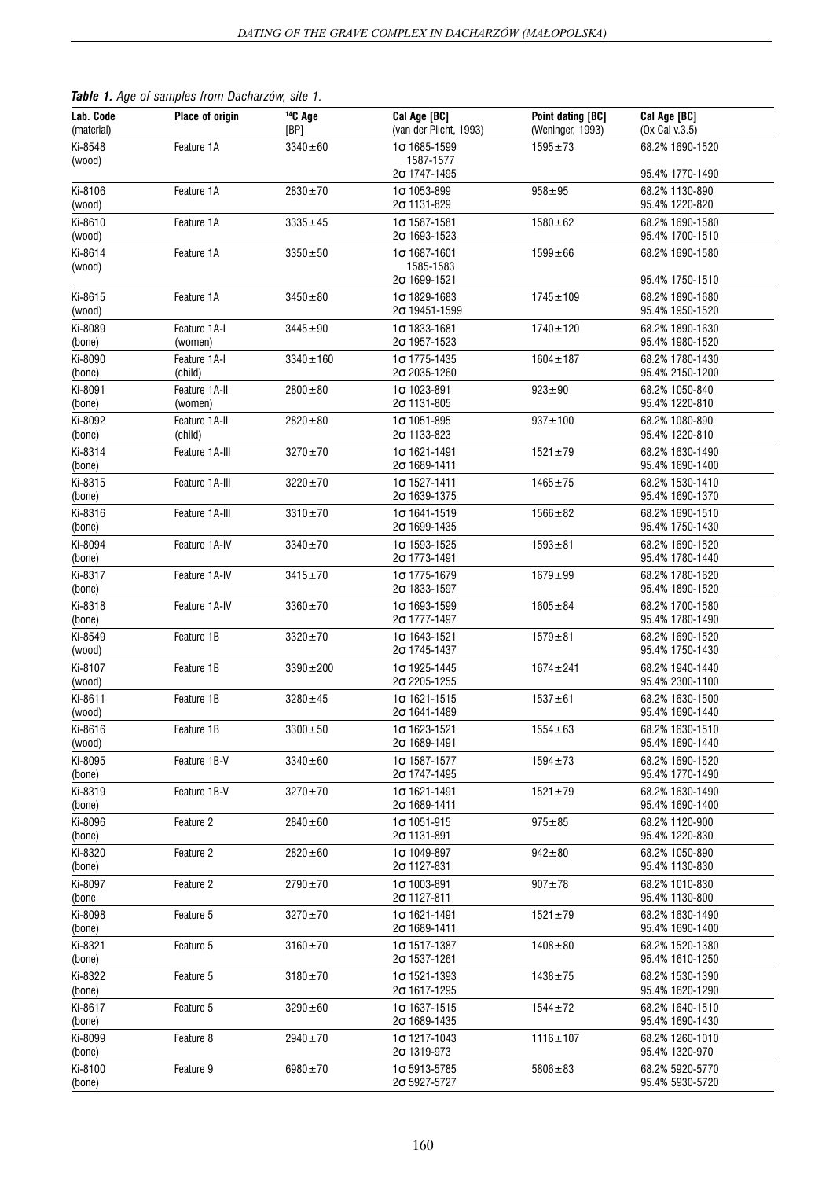|  |  |  |  |  |  | Table 1. Age of samples from Dacharzów, site 1. |  |  |
|--|--|--|--|--|--|-------------------------------------------------|--|--|
|--|--|--|--|--|--|-------------------------------------------------|--|--|

| Lab. Code<br>(material) | <b>Place of origin</b>   | $14C$ Age<br>[BP] | Cal Age [BC]<br>(van der Plicht, 1993)      | Point dating [BC]<br>(Weninger, 1993) | Cal Age [BC]<br>(Ox Cal v.3.5)     |
|-------------------------|--------------------------|-------------------|---------------------------------------------|---------------------------------------|------------------------------------|
| Ki-8548<br>(wood)       | Feature 1A               | $3340 \pm 60$     | $1\sigma$ 1685-1599<br>1587-1577            | $1595 + 73$                           | 68.2% 1690-1520                    |
|                         |                          |                   | $2\sigma$ 1747-1495                         |                                       | 95.4% 1770-1490                    |
| Ki-8106<br>(wood)       | Feature 1A               | 2830±70           | $1\sigma$ 1053-899<br>$2\sigma$ 1131-829    | $958 + 95$                            | 68.2% 1130-890<br>95.4% 1220-820   |
| Ki-8610<br>(wood)       | Feature 1A               | $3335 \pm 45$     | $1\sigma$ 1587-1581<br>$2\sigma$ 1693-1523  | $1580 + 62$                           | 68.2% 1690-1580<br>95.4% 1700-1510 |
| Ki-8614                 | Feature 1A               | $3350 + 50$       | $1\sigma$ 1687-1601                         | $1599 + 66$                           | 68.2% 1690-1580                    |
| (wood)                  |                          |                   | 1585-1583<br>$2\sigma$ 1699-1521            |                                       | 95.4% 1750-1510                    |
| Ki-8615<br>(wood)       | Feature 1A               | $3450 \pm 80$     | $1\sigma$ 1829-1683<br>$2\sigma$ 19451-1599 | $1745 \pm 109$                        | 68.2% 1890-1680<br>95.4% 1950-1520 |
| Ki-8089<br>(bone)       | Feature 1A-I<br>(women)  | $3445 + 90$       | $1\sigma$ 1833-1681<br>$2\sigma$ 1957-1523  | $1740 \pm 120$                        | 68.2% 1890-1630<br>95.4% 1980-1520 |
| Ki-8090<br>(bone)       | Feature 1A-I<br>(child)  | $3340 + 160$      | $1\sigma$ 1775-1435<br>2 $\sigma$ 2035-1260 | $1604 \pm 187$                        | 68.2% 1780-1430<br>95.4% 2150-1200 |
| Ki-8091<br>(bone)       | Feature 1A-II<br>(women) | $2800 + 80$       | $1\sigma$ 1023-891<br>$2\sigma$ 1131-805    | $923 + 90$                            | 68.2% 1050-840<br>95.4% 1220-810   |
| Ki-8092<br>(bone)       | Feature 1A-II<br>(child) | $2820 + 80$       | $1\sigma$ 1051-895<br>$2\sigma$ 1133-823    | $937 + 100$                           | 68.2% 1080-890<br>95.4% 1220-810   |
| Ki-8314                 | Feature 1A-III           | $3270 + 70$       | $1\sigma$ 1621-1491                         | $1521 \pm 79$                         | 68.2% 1630-1490                    |
| (bone)<br>Ki-8315       | Feature 1A-III           | $3220 + 70$       | $2\sigma$ 1689-1411<br>$1\sigma$ 1527-1411  | $1465 + 75$                           | 95.4% 1690-1400<br>68.2% 1530-1410 |
| (bone)<br>Ki-8316       | Feature 1A-III           | $3310 \pm 70$     | $2\sigma$ 1639-1375<br>$1\sigma$ 1641-1519  | $1566 \pm 82$                         | 95.4% 1690-1370<br>68.2% 1690-1510 |
| (bone)<br>Ki-8094       | Feature 1A-IV            | $3340 \pm 70$     | $2\sigma$ 1699-1435<br>$1\sigma$ 1593-1525  | $1593 + 81$                           | 95.4% 1750-1430<br>68.2% 1690-1520 |
| (bone)                  |                          |                   | $2\sigma$ 1773-1491                         |                                       | 95.4% 1780-1440                    |
| Ki-8317<br>(bone)       | Feature 1A-IV            | $3415 \pm 70$     | $1\sigma$ 1775-1679<br>$2\sigma$ 1833-1597  | $1679 + 99$                           | 68.2% 1780-1620<br>95.4% 1890-1520 |
| Ki-8318<br>(bone)       | Feature 1A-IV            | $3360 \pm 70$     | $1\sigma$ 1693-1599<br>$2\sigma$ 1777-1497  | $1605 + 84$                           | 68.2% 1700-1580<br>95.4% 1780-1490 |
| Ki-8549<br>(wood)       | Feature 1B               | $3320 \pm 70$     | $1\sigma$ 1643-1521<br>$2\sigma$ 1745-1437  | $1579 + 81$                           | 68.2% 1690-1520<br>95.4% 1750-1430 |
| Ki-8107<br>(wood)       | Feature 1B               | $3390 + 200$      | $1\sigma$ 1925-1445<br>$2\sigma$ 2205-1255  | $1674 + 241$                          | 68.2% 1940-1440<br>95.4% 2300-1100 |
| Ki-8611<br>(wood)       | Feature 1B               | $3280 + 45$       | $1\sigma$ 1621-1515<br>$2\sigma$ 1641-1489  | $1537 + 61$                           | 68.2% 1630-1500<br>95.4% 1690-1440 |
| Ki-8616<br>(wood)       | Feature 1B               | $3300 + 50$       | $1\sigma$ 1623-1521<br>$2\sigma$ 1689-1491  | $1554 + 63$                           | 68.2% 1630-1510<br>95.4% 1690-1440 |
| Ki-8095<br>(bone)       | Feature 1B-V             | $3340 + 60$       | $1\sigma$ 1587-1577<br>$2\sigma$ 1747-1495  | $1594 + 73$                           | 68.2% 1690-1520<br>95.4% 1770-1490 |
| Ki-8319<br>(bone)       | Feature 1B-V             | $3270 \pm 70$     | $1\sigma$ 1621-1491<br>$2\sigma$ 1689-1411  | $1521 \pm 79$                         | 68.2% 1630-1490<br>95.4% 1690-1400 |
| Ki-8096<br>(bone)       | Feature 2                | $2840 \pm 60$     | $1\sigma$ 1051-915<br>$2\sigma$ 1131-891    | $975 + 85$                            | 68.2% 1120-900<br>95.4% 1220-830   |
| Ki-8320<br>(bone)       | Feature 2                | $2820 \pm 60$     | $1\sigma$ 1049-897<br>$2\sigma$ 1127-831    | $942 \pm 80$                          | 68.2% 1050-890<br>95.4% 1130-830   |
| Ki-8097<br>(bone        | Feature 2                | $2790 + 70$       | $1\sigma$ 1003-891<br>$2\sigma$ 1127-811    | $907 + 78$                            | 68.2% 1010-830<br>95.4% 1130-800   |
| Ki-8098<br>(bone)       | Feature 5                | $3270 \pm 70$     | $1\sigma$ 1621-1491<br>$2\sigma$ 1689-1411  | $1521 \pm 79$                         | 68.2% 1630-1490<br>95.4% 1690-1400 |
| Ki-8321<br>(bone)       | Feature 5                | $3160 \pm 70$     | $1\sigma$ 1517-1387<br>$2\sigma$ 1537-1261  | $1408 + 80$                           | 68.2% 1520-1380<br>95.4% 1610-1250 |
| Ki-8322<br>(bone)       | Feature 5                | $3180 + 70$       | $1\sigma$ 1521-1393<br>$2\sigma$ 1617-1295  | $1438 + 75$                           | 68.2% 1530-1390<br>95.4% 1620-1290 |
| Ki-8617<br>(bone)       | Feature 5                | $3290 \pm 60$     | $1\sigma$ 1637-1515<br>$2\sigma$ 1689-1435  | $1544 \pm 72$                         | 68.2% 1640-1510<br>95.4% 1690-1430 |
| Ki-8099<br>(bone)       | Feature 8                | $2940 \pm 70$     | $1\sigma$ 1217-1043<br>$2\sigma$ 1319-973   | $1116 \pm 107$                        | 68.2% 1260-1010<br>95.4% 1320-970  |
| Ki-8100<br>(bone)       | Feature 9                | $6980 + 70$       | $1\sigma$ 5913-5785<br>$2\sigma$ 5927-5727  | $5806 + 83$                           | 68.2% 5920-5770<br>95.4% 5930-5720 |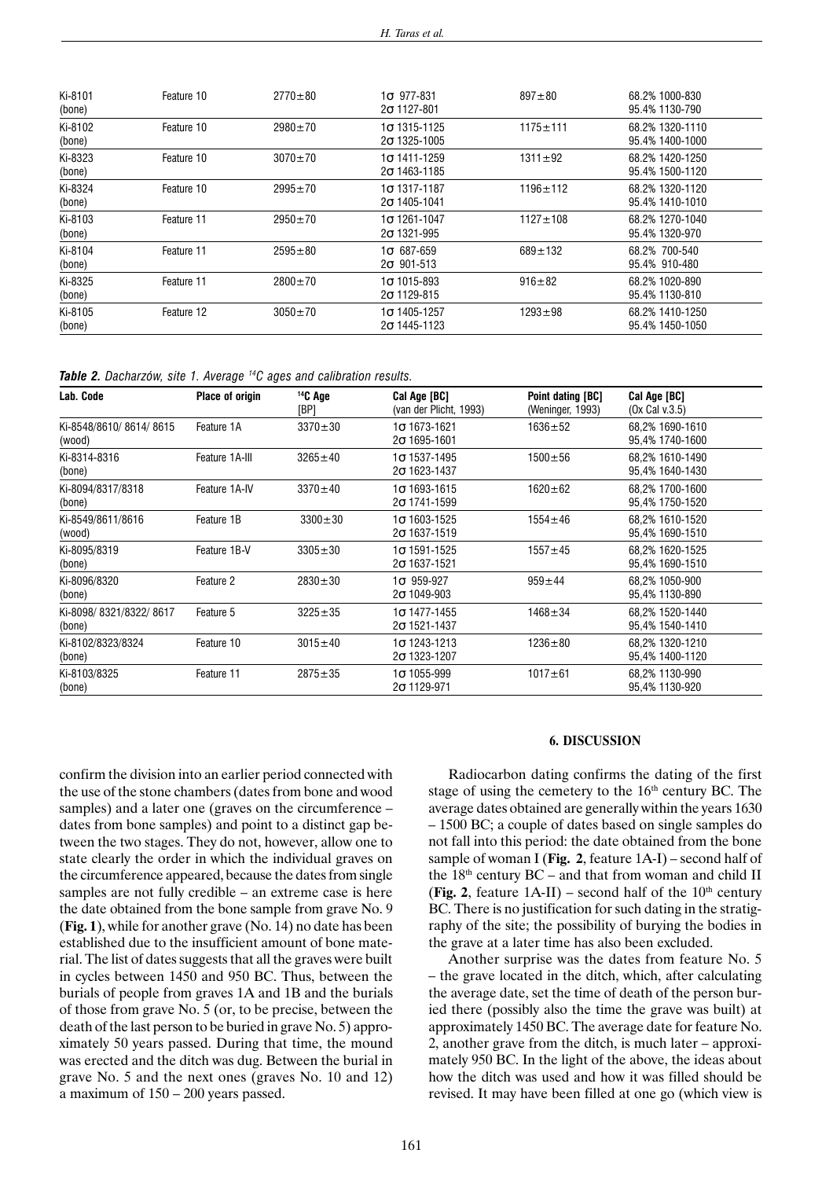| Ki-8101<br>(bone) | Feature 10 | $2770 + 80$   | $1\sigma$ 977-831<br>$2\sigma$ 1127-801    | $897 + 80$     | 68.2% 1000-830<br>95.4% 1130-790   |
|-------------------|------------|---------------|--------------------------------------------|----------------|------------------------------------|
| Ki-8102<br>(bone) | Feature 10 | $2980 \pm 70$ | $1\sigma$ 1315-1125<br>$2\sigma$ 1325-1005 | $1175 + 111$   | 68.2% 1320-1110<br>95.4% 1400-1000 |
| Ki-8323<br>(bone) | Feature 10 | $3070 \pm 70$ | 1ი 1411-1259<br>$2\sigma$ 1463-1185        | $1311 \pm 92$  | 68.2% 1420-1250<br>95.4% 1500-1120 |
| Ki-8324<br>(bone) | Feature 10 | $2995 \pm 70$ | 16 1317-1187<br>$2\sigma$ 1405-1041        | $1196 \pm 112$ | 68.2% 1320-1120<br>95.4% 1410-1010 |
| Ki-8103<br>(bone) | Feature 11 | $2950 \pm 70$ | 1ი 1261-1047<br>$2\sigma$ 1321-995         | $1127 \pm 108$ | 68.2% 1270-1040<br>95.4% 1320-970  |
| Ki-8104<br>(bone) | Feature 11 | $2595 + 80$   | $1\sigma$ 687-659<br>$2\sigma$ 901-513     | $689 \pm 132$  | 68.2% 700-540<br>95.4% 910-480     |
| Ki-8325<br>(bone) | Feature 11 | $2800 \pm 70$ | $1\sigma$ 1015-893<br>$2\sigma$ 1129-815   | $916 \pm 82$   | 68.2% 1020-890<br>95.4% 1130-810   |
| Ki-8105<br>(bone) | Feature 12 | $3050 \pm 70$ | $1\sigma$ 1405-1257<br>$2\sigma$ 1445-1123 | $1293 \pm 98$  | 68.2% 1410-1250<br>95.4% 1450-1050 |

|  |  | Table 2. Dacharzów, site 1. Average <sup>14</sup> C ages and calibration results. |  |  |  |  |  |  |  |  |
|--|--|-----------------------------------------------------------------------------------|--|--|--|--|--|--|--|--|
|--|--|-----------------------------------------------------------------------------------|--|--|--|--|--|--|--|--|

| Lab. Code                        | <b>Place of origin</b> | $14C$ Age<br>[BP] | Cal Age [BC]<br>(van der Plicht, 1993)     | Point dating [BC]<br>(Weninger, 1993) | Cal Age [BC]<br>$(0x$ Cal v.3.5)   |
|----------------------------------|------------------------|-------------------|--------------------------------------------|---------------------------------------|------------------------------------|
| Ki-8548/8610/8614/8615<br>(wood) | Feature 1A             | $3370 \pm 30$     | $1\sigma$ 1673-1621<br>$2\sigma$ 1695-1601 | $1636 + 52$                           | 68.2% 1690-1610<br>95,4% 1740-1600 |
| Ki-8314-8316<br>(bone)           | Feature 1A-III         | $3265 \pm 40$     | $1\sigma$ 1537-1495<br>$2\sigma$ 1623-1437 | $1500 + 56$                           | 68,2% 1610-1490<br>95,4% 1640-1430 |
| Ki-8094/8317/8318<br>(bone)      | Feature 1A-IV          | $3370 \pm 40$     | $10$ 1693-1615<br>$2\sigma$ 1741-1599      | $1620 \pm 62$                         | 68.2% 1700-1600<br>95.4% 1750-1520 |
| Ki-8549/8611/8616<br>(wood)      | Feature 1B             | $3300 \pm 30$     | $1\sigma$ 1603-1525<br>$2\sigma$ 1637-1519 | $1554 \pm 46$                         | 68.2% 1610-1520<br>95,4% 1690-1510 |
| Ki-8095/8319<br>(bone)           | Feature 1B-V           | $3305 \pm 30$     | $1\sigma$ 1591-1525<br>$2\sigma$ 1637-1521 | $1557 + 45$                           | 68,2% 1620-1525<br>95,4% 1690-1510 |
| Ki-8096/8320<br>(bone)           | Feature 2              | $2830 \pm 30$     | $1\sigma$ 959-927<br>$2\sigma$ 1049-903    | $959 \pm 44$                          | 68.2% 1050-900<br>95,4% 1130-890   |
| Ki-8098/8321/8322/8617<br>(bone) | Feature 5              | $3225 \pm 35$     | $1\sigma$ 1477-1455<br>$2\sigma$ 1521-1437 | $1468 + 34$                           | 68,2% 1520-1440<br>95,4% 1540-1410 |
| Ki-8102/8323/8324<br>(bone)      | Feature 10             | $3015 \pm 40$     | $1\sigma$ 1243-1213<br>$2\sigma$ 1323-1207 | $1236 \pm 80$                         | 68.2% 1320-1210<br>95,4% 1400-1120 |
| Ki-8103/8325<br>(bone)           | Feature 11             | $2875 \pm 35$     | $1\sigma$ 1055-999<br>$2\sigma$ 1129-971   | $1017 + 61$                           | 68.2% 1130-990<br>95,4% 1130-920   |

confirm the division into an earlier period connected with the use of the stone chambers (dates from bone and wood samples) and a later one (graves on the circumference – dates from bone samples) and point to a distinct gap between the two stages. They do not, however, allow one to state clearly the order in which the individual graves on the circumference appeared, because the dates from single samples are not fully credible – an extreme case is here the date obtained from the bone sample from grave No. 9 (**Fig. 1**), while for another grave (No. 14) no date has been established due to the insufficient amount of bone material. The list of dates suggests that all the graves were built in cycles between 1450 and 950 BC. Thus, between the burials of people from graves 1A and 1B and the burials of those from grave No. 5 (or, to be precise, between the death of the last person to be buried in grave No. 5) approximately 50 years passed. During that time, the mound was erected and the ditch was dug. Between the burial in grave No. 5 and the next ones (graves No. 10 and 12) a maximum of 150 – 200 years passed.

#### **6. DISCUSSION**

Radiocarbon dating confirms the dating of the first stage of using the cemetery to the  $16<sup>th</sup>$  century BC. The average dates obtained are generally within the years 1630 – 1500 BC; a couple of dates based on single samples do not fall into this period: the date obtained from the bone sample of woman I (**Fig. 2**, feature 1A-I) – second half of the  $18<sup>th</sup>$  century BC – and that from woman and child II (**Fig. 2**, feature  $1A-II$ ) – second half of the  $10<sup>th</sup>$  century BC. There is no justification for such dating in the stratigraphy of the site; the possibility of burying the bodies in the grave at a later time has also been excluded.

Another surprise was the dates from feature No. 5 – the grave located in the ditch, which, after calculating the average date, set the time of death of the person buried there (possibly also the time the grave was built) at approximately 1450 BC. The average date for feature No. 2, another grave from the ditch, is much later – approximately 950 BC. In the light of the above, the ideas about how the ditch was used and how it was filled should be revised. It may have been filled at one go (which view is